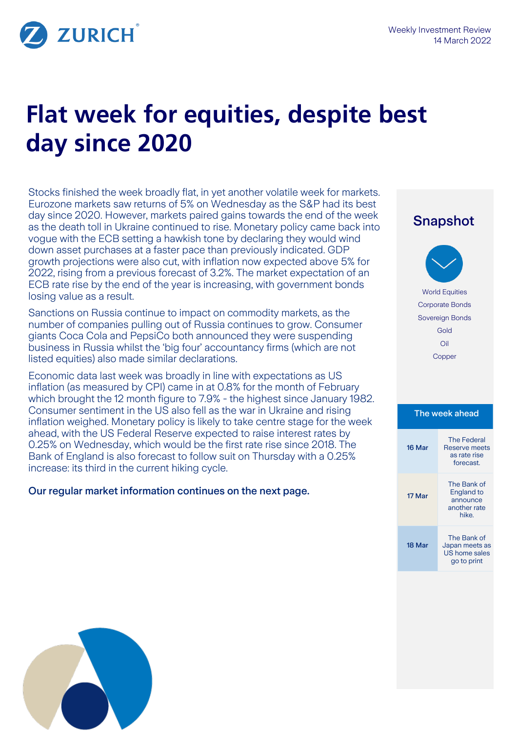

ZURICH

# **Flat week for equities, despite best day since 2020**

Stocks finished the week broadly flat, in yet another volatile week for markets. Eurozone markets saw returns of 5% on Wednesday as the S&P had its best day since 2020. However, markets paired gains towards the end of the week as the death toll in Ukraine continued to rise. Monetary policy came back into vogue with the ECB setting a hawkish tone by declaring they would wind down asset purchases at a faster pace than previously indicated. GDP growth projections were also cut, with inflation now expected above 5% for 2022, rising from a previous forecast of 3.2%. The market expectation of an ECB rate rise by the end of the year is increasing, with government bonds losing value as a result.

Sanctions on Russia continue to impact on commodity markets, as the number of companies pulling out of Russia continues to grow. Consumer giants Coca Cola and PepsiCo both announced they were suspending business in Russia whilst the 'big four' accountancy firms (which are not listed equities) also made similar declarations.

Economic data last week was broadly in line with expectations as US inflation (as measured by CPI) came in at 0.8% for the month of February which brought the 12 month figure to 7.9% - the highest since January 1982. Consumer sentiment in the US also fell as the war in Ukraine and rising inflation weighed. Monetary policy is likely to take centre stage for the week ahead, with the US Federal Reserve expected to raise interest rates by 0.25% on Wednesday, which would be the first rate rise since 2018. The Bank of England is also forecast to follow suit on Thursday with a 0.25% increase: its third in the current hiking cycle.

## Our regular market information continues on the next page.

# Snapshot World Equities Corporate Bonds Sovereign Bonds Gold Oil Copper

### The week ahead

| 16 Mar | <b>The Federal</b><br>Reserve meets<br>as rate rise<br>forecast.      |
|--------|-----------------------------------------------------------------------|
| 17 Mar | The Bank of<br><b>England to</b><br>announce<br>another rate<br>hike. |
| 18 Mar | The Bank of<br>Japan meets as<br>US home sales<br>go to print         |